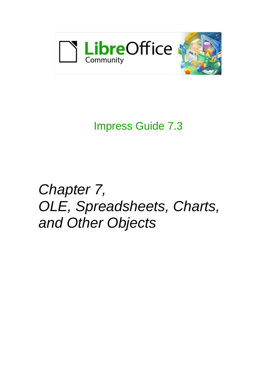

# Impress Guide 7.3

# *Chapter 7, OLE, Spreadsheets, Charts, and Other Objects*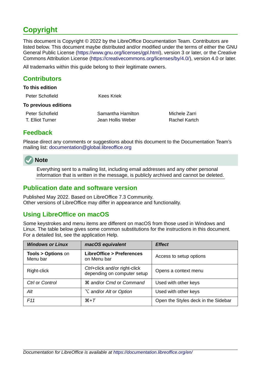# <span id="page-1-4"></span>**Copyright**

This document is Copyright © 2022 by the LibreOffice Documentation Team. Contributors are listed below. This document maybe distributed and/or modified under the terms of either the GNU General Public License (<https://www.gnu.org/licenses/gpl.html>), version 3 or later, or the Creative Commons Attribution License (<https://creativecommons.org/licenses/by/4.0/>), version 4.0 or later.

All trademarks within this guide belong to their legitimate owners.

## <span id="page-1-3"></span>**Contributors**

| <b>To this edition</b> |                   |               |
|------------------------|-------------------|---------------|
| Peter Schofield        | Kees Kriek        |               |
| To previous editions   |                   |               |
| Peter Schofield        | Samantha Hamilton | Michele Zarri |
| T. Elliot Turner       | Jean Hollis Weber | Rachel Kartch |
|                        |                   |               |

## <span id="page-1-2"></span>**Feedback**

Please direct any comments or suggestions about this document to the Documentation Team's mailing list: [documentation@global.libreoffice.org](mailto:documentation@global.libreoffice.org)



Everything sent to a mailing list, including email addresses and any other personal information that is written in the message, is publicly archived and cannot be deleted.

### <span id="page-1-1"></span>**Publication date and software version**

Published May 2022. Based on LibreOffice 7.3 Community. Other versions of LibreOffice may differ in appearance and functionality.

## <span id="page-1-0"></span>**Using LibreOffice on macOS**

Some keystrokes and menu items are different on macOS from those used in Windows and Linux. The table below gives some common substitutions for the instructions in this document. For a detailed list, see the application Help.

| <b>Windows or Linux</b>                  | macOS equivalent                                             | <b>Effect</b>                       |
|------------------------------------------|--------------------------------------------------------------|-------------------------------------|
| <b>Tools &gt; Options on</b><br>Menu bar | LibreOffice > Preferences<br>on Menu bar                     | Access to setup options             |
| Right-click                              | Ctrl+click and/or right-click<br>depending on computer setup | Opens a context menu                |
| Ctrl or Control                          | <b><math>\frac{1}{2}</math></b> and/or Cmd or Command        | Used with other keys                |
| Alt                                      | <b>∠</b> and/or <i>Alt</i> or <i>Option</i>                  | Used with other keys                |
| F <sub>11</sub>                          | $\mathcal{H}+T$                                              | Open the Styles deck in the Sidebar |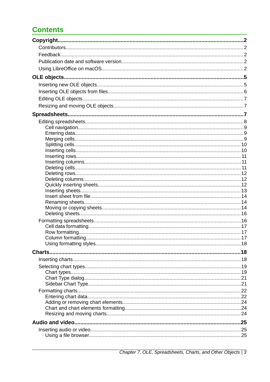# **Contents**

| Charts |  |
|--------|--|
|        |  |
|        |  |
|        |  |
|        |  |
|        |  |
|        |  |
|        |  |
|        |  |
|        |  |
|        |  |
|        |  |
|        |  |
|        |  |
|        |  |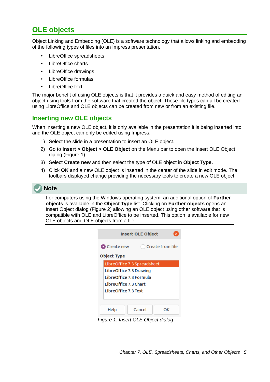# <span id="page-4-1"></span>**OLE objects**

Object Linking and Embedding (OLE) is a software technology that allows linking and embedding of the following types of files into an Impress presentation.

- LibreOffice spreadsheets
- LibreOffice charts
- LibreOffice drawings
- LibreOffice formulas
- LibreOffice text

The major benefit of using OLE objects is that it provides a quick and easy method of editing an object using tools from the software that created the object. These file types can all be created using LibreOffice and OLE objects can be created from new or from an existing file.

## <span id="page-4-0"></span>**Inserting new OLE objects**

When inserting a new OLE object, it is only available in the presentation it is being inserted into and the OLE object can only be edited using Impress.

- 1) Select the slide in a presentation to insert an OLE object.
- 2) Go to **Insert > Object > OLE Object** on the Menu bar to open the Insert OLE Object dialog (Figure [1](#page-4-2)).
- 3) Select **Create new** and then select the type of OLE object in **Object Type.**
- 4) Click **OK** and a new OLE object is inserted in the center of the slide in edit mode. The toolbars displayed change providing the necessary tools to create a new OLE object.



For computers using the Windows operating system, an additional option of **Further objects** is available in the **Object Type** list. Clicking on **Further objects** opens an Insert Object dialog (Figure [2\)](#page-5-1) allowing an OLE object using other software that is compatible with OLE and LibreOffice to be inserted. This option is available for new OLE objects and OLE objects from a file.

| <b>Insert OLE Object</b>                |  |  |  |  |
|-----------------------------------------|--|--|--|--|
| Create from file<br><b>O</b> Create new |  |  |  |  |
| <b>Object Type</b>                      |  |  |  |  |
| LibreOffice 7.3 Spreadsheet             |  |  |  |  |
| LibreOffice 7.3 Drawing                 |  |  |  |  |
| LibreOffice 7.3 Formula                 |  |  |  |  |
| LibreOffice 7.3 Chart                   |  |  |  |  |
| LibreOffice 7.3 Text                    |  |  |  |  |
|                                         |  |  |  |  |
| Cancel<br>Help<br>OΚ                    |  |  |  |  |

<span id="page-4-2"></span>*Figure 1: Insert OLE Object dialog*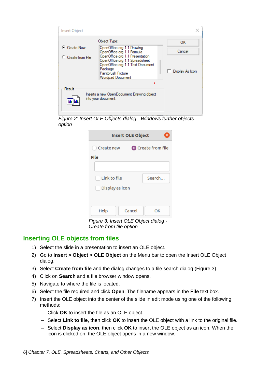| Insert Object                       |                                                                                                                                                                                                                                               |                                 |
|-------------------------------------|-----------------------------------------------------------------------------------------------------------------------------------------------------------------------------------------------------------------------------------------------|---------------------------------|
| C Create New<br>C. Create from File | Object Type:<br>OpenOffice.org 1.1 Drawing<br>OpenOffice.org 1.1 Formula<br>OpenOffice.org 1.1 Presentation<br>OpenOffice.org 1.1 Spreadsheet<br>OpenOffice.org 1.1 Text Document<br>Package<br>Paintbrush Picture<br><b>Wordpad Document</b> | 0K<br>Cancel<br>Display As Icon |
| Result                              | Inserts a new OpenDocument Drawing object<br>into your document.                                                                                                                                                                              |                                 |

<span id="page-5-1"></span>

| <b>Insert OLE Object</b><br>×           |        |    |  |  |
|-----------------------------------------|--------|----|--|--|
| <b>O</b> Create from file<br>Create new |        |    |  |  |
| File                                    |        |    |  |  |
|                                         |        |    |  |  |
| Link to file<br>Search                  |        |    |  |  |
| Display as icon                         |        |    |  |  |
|                                         |        |    |  |  |
| Help                                    | Cancel | ОΚ |  |  |
| Figure 3: Insert OLE Object dialog -    |        |    |  |  |

<span id="page-5-2"></span>*Create from file option*

## <span id="page-5-0"></span>**Inserting OLE objects from files**

- 1) Select the slide in a presentation to insert an OLE object.
- 2) Go to **Insert > Object > OLE Object** on the Menu bar to open the Insert OLE Object dialog.
- 3) Select **Create from file** and the dialog changes to a file search dialog (Figure [3](#page-5-2)).
- 4) Click on **Search** and a file browser window opens.
- 5) Navigate to where the file is located.
- 6) Select the file required and click **Open**. The filename appears in the **File** text box.
- 7) Insert the OLE object into the center of the slide in edit mode using one of the following methods:
	- Click **OK** to insert the file as an OLE object.
	- Select **Link to file**, then click **OK** to insert the OLE object with a link to the original file.
	- Select **Display as icon**, then click **OK** to insert the OLE object as an icon. When the icon is clicked on, the OLE object opens in a new window.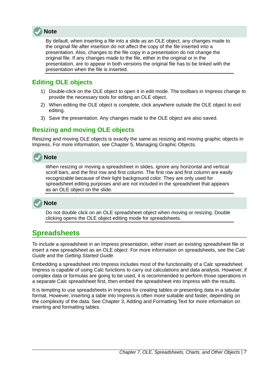

By default, when inserting a file into a slide as an OLE object, any changes made to the original file after insertion do not affect the copy of the file inserted into a presentation. Also, changes to the file copy in a presentation do not change the original file. If any changes made to the file, either in the original or in the presentation, are to appear in both versions the original file has to be linked with the presentation when the file is inserted.

## <span id="page-6-2"></span>**Editing OLE objects**

- 1) Double-click on the OLE object to open it in edit mode. The toolbars in Impress change to provide the necessary tools for editing an OLE object.
- 2) When editing the OLE object is complete, click anywhere outside the OLE object to exit editing.
- 3) Save the presentation. Any changes made to the OLE object are also saved.

## <span id="page-6-1"></span>**Resizing and moving OLE objects**

Resizing and moving OLE objects is exactly the same as resizing and moving graphic objects in Impress. For more information, see Chapter 5, Managing Graphic Objects.

# **Note**

When resizing or moving a spreadsheet in slides, ignore any horizontal and vertical scroll bars, and the first row and first column. The first row and first column are easily recognizable because of their light background color. They are only used for spreadsheet editing purposes and are not included in the spreadsheet that appears as an OLE object on the slide.

# **Note**

Do not double click on an OLE spreadsheet object when moving or resizing. Double clicking opens the OLE object editing mode for spreadsheets.

# <span id="page-6-0"></span>**Spreadsheets**

To include a spreadsheet in an Impress presentation, either insert an existing spreadsheet file or insert a new spreadsheet as an OLE object. For more information on spreadsheets, see the *Calc Guide* and the *Getting Started Guide*.

Embedding a spreadsheet into Impress includes most of the functionality of a Calc spreadsheet. Impress is capable of using Calc functions to carry out calculations and data analysis. However, if complex data or formulas are going to be used, it is recommended to perform those operations in a separate Calc spreadsheet first, then embed the spreadsheet into Impress with the results.

It is tempting to use spreadsheets in Impress for creating tables or presenting data in a tabular format. However, inserting a table into Impress is often more suitable and faster, depending on the complexity of the data. See Chapter 3, Adding and Formatting Text for more information on inserting and formatting tables.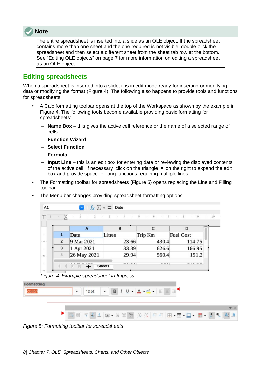

The entire spreadsheet is inserted into a slide as an OLE object. If the spreadsheet contains more than one sheet and the one required is not visible, double-click the spreadsheet and then select a different sheet from the sheet tab row at the bottom. See ["Editing OLE objects"](#page-6-2) on page [7](#page-6-2) for more information on editing a spreadsheet as an OLE object.

## <span id="page-7-0"></span>**Editing spreadsheets**

When a spreadsheet is inserted into a slide, it is in edit mode ready for inserting or modifying data or modifying the format (Figure [4](#page-7-2)). The following also happens to provide tools and functions for spreadsheets:

- A Calc formatting toolbar opens at the top of the Workspace as shown by the example in Figure [4.](#page-7-2) The following tools become available providing basic formatting for spreadsheets:
	- **Name Box** this gives the active cell reference or the name of a selected range of cells.
	- **Function Wizard**
	- **Select Function**
	- **Formula**.
	- **Input Line** this is an edit box for entering data or reviewing the displayed contents of the active cell. If necessary, click on the triangle ▼ on the right to expand the edit box and provide space for long functions requiring multiple lines.
- The Formatting toolbar for spreadsheets (Figure [5](#page-7-1)) opens replacing the Line and Filling toolbar.
- The Menu bar changes providing spreadsheet formatting options.

|                | i i<br>$\overline{2}$ | 3<br>4<br>- 11 | 5<br>- 6 | 8<br>$\overline{9}$ | 10 |
|----------------|-----------------------|----------------|----------|---------------------|----|
|                | A                     | B              | С        | D                   |    |
| $\mathbf{1}$   | Date                  | Litres         | Trip Km  | <b>Fuel Cost</b>    |    |
| $\overline{2}$ | 9 Mar 2021            | 23.66          | 430.4    | 114.75              |    |
| 3              | 1 Apr 2021            | 33.39          | 626.6    | 166.95              |    |
| $\overline{a}$ | 26 May 2021           | 29.94          | 560.4    | 151.2               |    |
|                |                       | ----           | レエレ      | .                   |    |

<span id="page-7-2"></span>*Figure 4: Example spreadsheet in Impress*



<span id="page-7-1"></span>*Figure 5: Formatting toolbar for spreadsheets*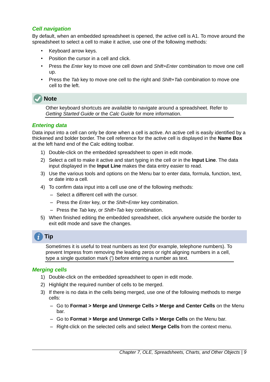#### <span id="page-8-2"></span>*Cell navigation*

By default, when an embedded spreadsheet is opened, the active cell is A1. To move around the spreadsheet to select a cell to make it active, use one of the following methods:

- Keyboard arrow keys.
- Position the cursor in a cell and click.
- Press the *Enter* key to move one cell down and *Shift+Enter* combination to move one cell up.
- Press the *Tab* key to move one cell to the right and *Shift+Tab* combination to move one cell to the left.



Other keyboard shortcuts are available to navigate around a spreadsheet. Refer to *Getting Started Guide* or the *Calc Guide* for more information.

#### <span id="page-8-1"></span>*Entering data*

Data input into a cell can only be done when a cell is active. An active cell is easily identified by a thickened and bolder border. The cell reference for the active cell is displayed in the **Name Box** at the left hand end of the Calc editing toolbar.

- 1) Double-click on the embedded spreadsheet to open in edit mode.
- 2) Select a cell to make it active and start typing in the cell or in the **Input Line**. The data input displayed in the **Input Line** makes the data entry easier to read.
- 3) Use the various tools and options on the Menu bar to enter data, formula, function, text, or date into a cell.
- 4) To confirm data input into a cell use one of the following methods:
	- Select a different cell with the cursor.
	- Press the *Enter* key, or the *Shift+Enter* key combination.
	- Press the *Tab* key, or *Shift+Tab* key combination.
- 5) When finished editing the embedded spreadsheet, click anywhere outside the border to exit edit mode and save the changes.



Sometimes it is useful to treat numbers as text (for example, telephone numbers). To prevent Impress from removing the leading zeros or right aligning numbers in a cell, type a single quotation mark (') before entering a number as text.

#### <span id="page-8-0"></span>*Merging cells*

- 1) Double-click on the embedded spreadsheet to open in edit mode.
- 2) Highlight the required number of cells to be merged.
- 3) If there is no data in the cells being merged, use one of the following methods to merge cells:
	- Go to **Format > Merge and Unmerge Cells > Merge and Center Cells** on the Menu bar.
	- Go to **Format > Merge and Unmerge Cells > Merge Cells** on the Menu bar.
	- Right-click on the selected cells and select **Merge Cells** from the context menu.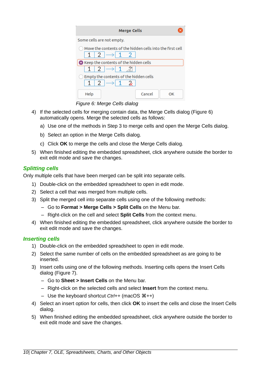| <b>Merge Cells</b>                                                                                          |  |  |  |  |
|-------------------------------------------------------------------------------------------------------------|--|--|--|--|
| Some cells are not empty.                                                                                   |  |  |  |  |
| Move the contents of the hidden cells into the first cell<br>$1 \mid 2 \mid \rightarrow \mid 1 \mid 2 \mid$ |  |  |  |  |
| Keep the contents of the hidden cells                                                                       |  |  |  |  |
| $1 \mid 2 \mid \rightarrow \mid 1$                                                                          |  |  |  |  |
| Empty the contents of the hidden cells<br>$1 \mid 2 \mid \rightarrow \mid 1 \mid 2$                         |  |  |  |  |
| Cancel<br>Help<br>∩ĸ                                                                                        |  |  |  |  |

<span id="page-9-2"></span>*Figure 6: Merge Cells dialog*

- 4) If the selected cells for merging contain data, the Merge Cells dialog (Figure [6\)](#page-9-2) automatically opens. Merge the selected cells as follows:
	- a) Use one of the methods in Step 3 to merge cells and open the Merge Cells dialog.
	- b) Select an option in the Merge Cells dialog.
	- c) Click **OK** to merge the cells and close the Merge Cells dialog.
- 5) When finished editing the embedded spreadsheet, click anywhere outside the border to exit edit mode and save the changes.

#### <span id="page-9-1"></span>*Splitting cells*

Only multiple cells that have been merged can be split into separate cells.

- 1) Double-click on the embedded spreadsheet to open in edit mode.
- 2) Select a cell that was merged from multiple cells.
- 3) Split the merged cell into separate cells using one of the following methods:
	- Go to **Format > Merge Cells > Split Cells** on the Menu bar.
	- Right-click on the cell and select **Split Cells** from the context menu.
- 4) When finished editing the embedded spreadsheet, click anywhere outside the border to exit edit mode and save the changes.

#### <span id="page-9-0"></span>*Inserting cells*

- 1) Double-click on the embedded spreadsheet to open in edit mode.
- 2) Select the same number of cells on the embedded spreadsheet as are going to be inserted.
- 3) Insert cells using one of the following methods. Inserting cells opens the Insert Cells dialog (Figure [7](#page-10-3)).
	- Go to **Sheet > Insert Cells** on the Menu bar.
	- Right-click on the selected cells and select **Insert** from the context menu.
	- Use the keyboard shortcut *Ctrl*++ (macOS  $\mathcal{H}$ ++)
- 4) Select an insert option for cells, then click **OK** to insert the cells and close the Insert Cells dialog.
- 5) When finished editing the embedded spreadsheet, click anywhere outside the border to exit edit mode and save the changes.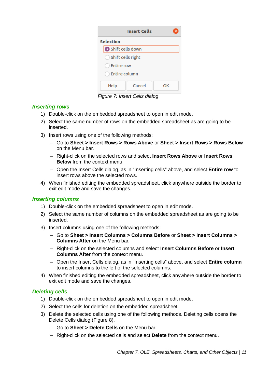| <b>Insert Cells</b>          |        |    |  |
|------------------------------|--------|----|--|
| <b>Selection</b>             |        |    |  |
| Shift cells down             |        |    |  |
| $\bigcirc$ Shift cells right |        |    |  |
| Entire row                   |        |    |  |
| <b>Entire column</b>         |        |    |  |
| Help                         | Cancel | OΚ |  |

<span id="page-10-3"></span>*Figure 7: Insert Cells dialog*

#### <span id="page-10-2"></span>*Inserting rows*

- 1) Double-click on the embedded spreadsheet to open in edit mode.
- 2) Select the same number of rows on the embedded spreadsheet as are going to be inserted.
- 3) Insert rows using one of the following methods:
	- Go to **Sheet > Insert Rows > Rows Above** or **Sheet > Insert Rows > Rows Below** on the Menu bar.
	- Right-click on the selected rows and select **Insert Rows Above** or **Insert Rows Below** from the context menu.
	- Open the Insert Cells dialog, as in ["Inserting cells" above,](#page-9-0) and select **Entire row** to insert rows above the selected rows.
- 4) When finished editing the embedded spreadsheet, click anywhere outside the border to exit edit mode and save the changes.

#### <span id="page-10-0"></span>*Inserting columns*

- 1) Double-click on the embedded spreadsheet to open in edit mode.
- 2) Select the same number of columns on the embedded spreadsheet as are going to be inserted.
- 3) Insert columns using one of the following methods:
	- Go to **Sheet > Insert Columns > Columns Before** or **Sheet > Insert Columns > Columns After** on the Menu bar.
	- Right-click on the selected columns and select **Insert Columns Before** or **Insert Columns After** from the context menu.
	- Open the Insert Cells dialog, as in ["Inserting cells" above,](#page-9-0) and select **Entire column** to insert columns to the left of the selected columns.
- 4) When finished editing the embedded spreadsheet, click anywhere outside the border to exit edit mode and save the changes.

#### <span id="page-10-1"></span>*Deleting cells*

- 1) Double-click on the embedded spreadsheet to open in edit mode.
- 2) Select the cells for deletion on the embedded spreadsheet.
- 3) Delete the selected cells using one of the following methods. Deleting cells opens the Delete Cells dialog (Figure [8\)](#page-11-3).
	- Go to **Sheet > Delete Cells** on the Menu bar.
	- Right-click on the selected cells and select **Delete** from the context menu.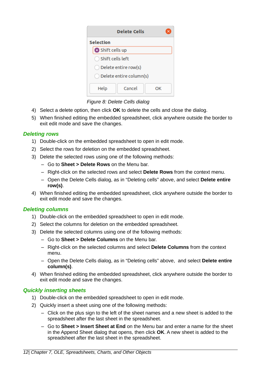| <b>Delete Cells</b>    |                         |    |  |
|------------------------|-------------------------|----|--|
| <b>Selection</b>       |                         |    |  |
| Shift cells up         |                         |    |  |
| ◯ Shift cells left     |                         |    |  |
| ◯ Delete entire row(s) |                         |    |  |
|                        | Delete entire column(s) |    |  |
| Help                   | Cancel                  | nк |  |

<span id="page-11-3"></span>*Figure 8: Delete Cells dialog*

- 4) Select a delete option, then click **OK** to delete the cells and close the dialog.
- 5) When finished editing the embedded spreadsheet, click anywhere outside the border to exit edit mode and save the changes.

#### <span id="page-11-2"></span>*Deleting rows*

- 1) Double-click on the embedded spreadsheet to open in edit mode.
- 2) Select the rows for deletion on the embedded spreadsheet.
- 3) Delete the selected rows using one of the following methods:
	- Go to **Sheet > Delete Rows** on the Menu bar.
	- Right-click on the selected rows and select **Delete Rows** from the context menu.
	- Open the Delete Cells dialog, as in ["Deleting cells](#page-10-1)" [above](#page-10-1), and select **Delete entire row(s)**.
- 4) When finished editing the embedded spreadsheet, click anywhere outside the border to exit edit mode and save the changes.

#### <span id="page-11-1"></span>*Deleting columns*

- 1) Double-click on the embedded spreadsheet to open in edit mode.
- 2) Select the columns for deletion on the embedded spreadsheet.
- 3) Delete the selected columns using one of the following methods:
	- Go to **Sheet > Delete Columns** on the Menu bar.
	- Right-click on the selected columns and select **Delete Columns** from the context menu.
	- Open the Delete Cells dialog, as in ["Deleting cells](#page-10-1)" [above](#page-10-1), and select **Delete entire column(s)**.
- 4) When finished editing the embedded spreadsheet, click anywhere outside the border to exit edit mode and save the changes.

#### <span id="page-11-0"></span>*Quickly inserting sheets*

- 1) Double-click on the embedded spreadsheet to open in edit mode.
- 2) Quickly insert a sheet using one of the following methods:
	- Click on the plus sign to the left of the sheet names and a new sheet is added to the spreadsheet after the last sheet in the spreadsheet.
	- Go to **Sheet > Insert Sheet at End** on the Menu bar and enter a name for the sheet in the Append Sheet dialog that opens, then click **OK**. A new sheet is added to the spreadsheet after the last sheet in the spreadsheet.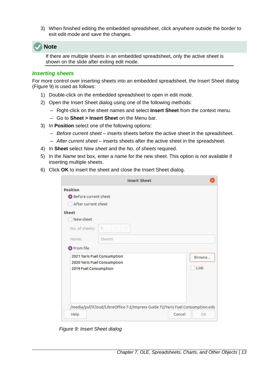3) When finished editing the embedded spreadsheet, click anywhere outside the border to exit edit mode and save the changes.



If there are multiple sheets in an embedded spreadsheet, only the active sheet is shown on the slide after exiting edit mode.

#### <span id="page-12-0"></span>*Inserting sheets*

For more control over inserting sheets into an embedded spreadsheet, the Insert Sheet dialog (Figure [9](#page-12-1)) is used as follows:

- 1) Double-click on the embedded spreadsheet to open in edit mode.
- 2) Open the Insert Sheet dialog using one of the following methods:
	- Right-click on the sheet names and select **Insert Sheet** from the context menu.
	- Go to **Sheet > Insert Sheet** on the Menu bar.
- 3) In **Position** select one of the following options:
	- *Before current sheet* inserts sheets before the active sheet in the spreadsheet.
	- *After current sheet* inserts sheets after the active sheet in the spreadsheet.
- 4) In **Sheet** select *New sheet* and the *No. of sheets* required.
- 5) In the *Name* text box, enter a name for the new sheet. This option is not available if inserting multiple sheets.
- 6) Click **OK** to insert the sheet and close the Insert Sheet dialog.

|                                                  | <b>Insert Sheet</b>                                                           |        |                |
|--------------------------------------------------|-------------------------------------------------------------------------------|--------|----------------|
| <b>Position</b><br><b>O</b> Before current sheet |                                                                               |        |                |
| After current sheet                              |                                                                               |        |                |
| Sheet                                            |                                                                               |        |                |
| New sheet                                        |                                                                               |        |                |
| No. of sheets:                                   | $\vert$<br>$\pm$                                                              |        |                |
| Name:                                            | Sheet6                                                                        |        |                |
| <b>O</b> From file                               |                                                                               |        |                |
| 2019 Fuel Consumption                            | 2021 Yaris Fuel Consumption<br>2020 Yaris Fuel Consumption                    |        | Browse<br>Link |
| Help                                             | /media/psf/iCloud/LibreOffice 7-2/Impress Guide 72/Yaris Fuel Consumption.ods | Cancel | OK             |

<span id="page-12-1"></span>*Figure 9: Insert Sheet dialog*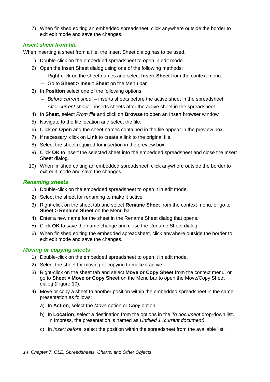7) When finished editing an embedded spreadsheet, click anywhere outside the border to exit edit mode and save the changes.

#### <span id="page-13-2"></span>*Insert sheet from file*

When inserting a sheet from a file, the Insert Sheet dialog has to be used.

- 1) Double-click on the embedded spreadsheet to open in edit mode.
- 2) Open the Insert Sheet dialog using one of the following methods:
	- Right-click on the sheet names and select **Insert Sheet** from the context menu.
	- Go to **Sheet > Insert Sheet** on the Menu bar.
- 3) In **Position** select one of the following options:
	- *Before current sheet* inserts sheets before the active sheet in the spreadsheet.
	- *After current sheet* inserts sheets after the active sheet in the spreadsheet.
- 4) In **Sheet**, select *From file* and click on **Browse** to open an Insert browser window.
- 5) Navigate to the file location and select the file.
- 6) Click on **Open** and the sheet names contained in the file appear in the preview box.
- 7) If necessary, click on **Link** to create a link to the original file.
- 8) Select the sheet required for insertion in the preview box.
- 9) Click **OK** to insert the selected sheet into the embedded spreadsheet and close the Insert Sheet dialog.
- 10) When finished editing an embedded spreadsheet, click anywhere outside the border to exit edit mode and save the changes.

#### <span id="page-13-1"></span>*Renaming sheets*

- 1) Double-click on the embedded spreadsheet to open it in edit mode.
- 2) Select the sheet for renaming to make it active.
- 3) Right-click on the sheet tab and select **Rename Sheet** from the context menu, or go to **Sheet > Rename Sheet** on the Menu bar.
- 4) Enter a new name for the sheet in the Rename Sheet dialog that opens.
- 5) Click **OK** to save the name change and close the Rename Sheet dialog.
- 6) When finished editing the embedded spreadsheet, click anywhere outside the border to exit edit mode and save the changes.

#### <span id="page-13-0"></span>*Moving or copying sheets*

- 1) Double-click on the embedded spreadsheet to open it in edit mode.
- 2) Select the sheet for moving or copying to make it active.
- 3) Right-click on the sheet tab and select **Move or Copy Sheet** from the context menu, or go to **Sheet > Move or Copy Sheet** on the Menu bar to open the Move/Copy Sheet dialog (Figure [10](#page-14-0)).
- 4) Move or copy a sheet to another position within the embedded spreadsheet in the same presentation as follows:
	- a) In **Action**, select the *Move* option or *Copy* option.
	- b) In **Location**, select a destination from the options in the *To document* drop-down list. In Impress, the presentation is named as *Untitled 1 (current document)*.
	- c) In *Insert before*, select the position within the spreadsheet from the available list.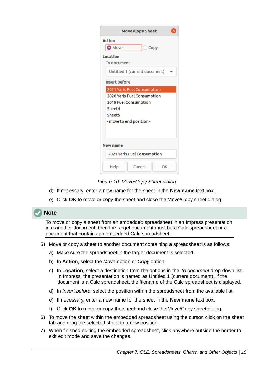| Move/Copy Sheet<br>×                                                                                                                            |  |  |  |  |  |  |  |  |
|-------------------------------------------------------------------------------------------------------------------------------------------------|--|--|--|--|--|--|--|--|
| <b>Action</b><br><b>O</b> Move<br>Copy                                                                                                          |  |  |  |  |  |  |  |  |
| <b>Location</b><br>To document                                                                                                                  |  |  |  |  |  |  |  |  |
| Untitled 1 (current document)                                                                                                                   |  |  |  |  |  |  |  |  |
| Insert before                                                                                                                                   |  |  |  |  |  |  |  |  |
| 2021 Yaris Fuel Consumption<br>2020 Yaris Fuel Consumption<br>2019 Fuel Consumption<br>Sheet4<br>Sheet <sub>5</sub><br>- move to end position - |  |  |  |  |  |  |  |  |
| <b>New name</b>                                                                                                                                 |  |  |  |  |  |  |  |  |
| 2021 Yaris Fuel Consumption                                                                                                                     |  |  |  |  |  |  |  |  |
| Help<br>Cancel<br>OK                                                                                                                            |  |  |  |  |  |  |  |  |

<span id="page-14-0"></span>*Figure 10: Move/Copy Sheet dialog*

- d) If necessary, enter a new name for the sheet in the **New name** text box.
- e) Click **OK** to move or copy the sheet and close the Move/Copy sheet dialog.

## **Note**

To move or copy a sheet from an embedded spreadsheet in an Impress presentation into another document, then the target document must be a Calc spreadsheet or a document that contains an embedded Calc spreadsheet.

- 5) Move or copy a sheet to another document containing a spreadsheet is as follows:
	- a) Make sure the spreadsheet in the target document is selected.
	- b) In **Action**, select the *Move* option or *Copy* option.
	- c) In **Location**, select a destination from the options in the *To document* drop-down list. In Impress, the presentation is named as Untitled 1 (current document). If the document is a Calc spreadsheet, the filename of the Calc spreadsheet is displayed.
	- d) In *Insert before*, select the position within the spreadsheet from the available list.
	- e) If necessary, enter a new name for the sheet in the **New name** text box.
	- f) Click **OK** to move or copy the sheet and close the Move/Copy sheet dialog.
- 6) To move the sheet within the embedded spreadsheet using the cursor, click on the sheet tab and drag the selected sheet to a new position.
- 7) When finished editing the embedded spreadsheet, click anywhere outside the border to exit edit mode and save the changes.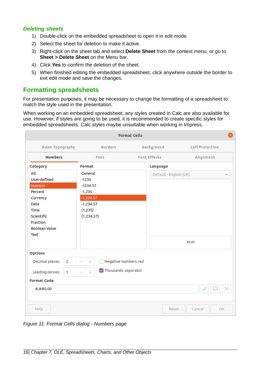#### <span id="page-15-1"></span>*Deleting sheets*

- 1) Double-click on the embedded spreadsheet to open it in edit mode.
- 2) Select the sheet for deletion to make it active.
- 3) Right-click on the sheet tab and select **Delete Sheet** from the context menu, or go to **Sheet > Delete Sheet** on the Menu bar.
- 4) Click **Yes** to confirm the deletion of the sheet.
- 5) When finished editing the embedded spreadsheet, click anywhere outside the border to exit edit mode and save the changes.

## <span id="page-15-0"></span>**Formatting spreadsheets**

For presentation purposes, it may be necessary to change the formatting of a spreadsheet to match the style used in the presentation.

When working on an embedded spreadsheet, any styles created in Calc are also available for use. However, if styles are going to be used, it is recommended to create specific styles for embedded spreadsheets. Calc styles maybe unsuitable when working in Impress.

|                                                                                                                                      |                                                                                                       | <b>Format Cells</b>    | ⊗                      |
|--------------------------------------------------------------------------------------------------------------------------------------|-------------------------------------------------------------------------------------------------------|------------------------|------------------------|
| Asian Typography                                                                                                                     | <b>Borders</b>                                                                                        | <b>Background</b>      | <b>Cell Protection</b> |
| <b>Numbers</b>                                                                                                                       | Font                                                                                                  | <b>Font Effects</b>    | Alignment              |
| Category                                                                                                                             | <b>Format</b>                                                                                         | <b>Language</b>        |                        |
| All<br>User-defined<br>Number<br>Percent<br>Currency<br>Date<br><b>Time</b><br>Scientific<br><b>Fraction</b><br><b>Boolean Value</b> | General<br>$-1235$<br>$-1234.57$<br>$-1,235$<br>$-1,234.57$<br>$-1,234.57$<br>(1, 235)<br>(1, 234.57) | Default - English (UK) |                        |
| <b>Text</b>                                                                                                                          |                                                                                                       |                        | 30.45                  |
| <b>Options</b>                                                                                                                       |                                                                                                       |                        |                        |
| Decimal places:<br>$\overline{2}$                                                                                                    | Negative numbers red<br>$^{+}$                                                                        |                        |                        |
| Leading zeroes:<br>$\mathbf{1}$                                                                                                      | $\triangledown$ Thousands separator<br>$^{+}$                                                         |                        |                        |
| <b>Format Code</b>                                                                                                                   |                                                                                                       |                        |                        |
| #,##0.00                                                                                                                             |                                                                                                       |                        |                        |
| Help                                                                                                                                 |                                                                                                       | Reset                  | Cancel<br>OK.          |

<span id="page-15-2"></span>*Figure 11: Format Cells dialog - Numbers page*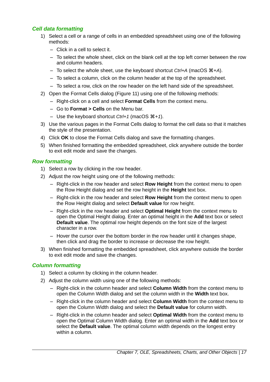#### <span id="page-16-2"></span>*Cell data formatting*

- 1) Select a cell or a range of cells in an embedded spreadsheet using one of the following methods:
	- Click in a cell to select it.
	- To select the whole sheet, click on the blank cell at the top left corner between the row and column headers.
	- $-$  To select the whole sheet, use the keyboard shortcut *Ctrl+A* (macOS  $\mathcal{H} + A$ ).
	- To select a column, click on the column header at the top of the spreadsheet.
	- To select a row, click on the row header on the left hand side of the spreadsheet.
- 2) Open the Format Cells dialog (Figure [11](#page-15-2)) using one of the following methods:
	- Right-click on a cell and select **Format Cells** from the context menu.
	- Go to **Format > Cells** on the Menu bar.
	- Use the keyboard shortcut *Ctrl+1* (macOS  $\mathcal{H}+1$ ).
- 3) Use the various pages in the Format Cells dialog to format the cell data so that it matches the style of the presentation.
- 4) Click **OK** to close the Format Cells dialog and save the formatting changes.
- 5) When finished formatting the embedded spreadsheet, click anywhere outside the border to exit edit mode and save the changes.

#### <span id="page-16-1"></span>*Row formatting*

- 1) Select a row by clicking in the row header.
- 2) Adjust the row height using one of the following methods:
	- Right-click in the row header and select **Row Height** from the context menu to open the Row Height dialog and set the row height in the **Height** text box.
	- Right-click in the row header and select **Row Height** from the context menu to open the Row Height dialog and select **Default value** for row height.
	- Right-click in the row header and select **Optimal Height** from the context menu to open the Optimal Height dialog. Enter an optimal height in the **Add** text box or select **Default value**. The optimal row height depends on the font size of the largest character in a row.
	- Hover the cursor over the bottom border in the row header until it changes shape, then click and drag the border to increase or decrease the row height.
- 3) When finished formatting the embedded spreadsheet, click anywhere outside the border to exit edit mode and save the changes.

#### <span id="page-16-0"></span>*Column formatting*

- 1) Select a column by clicking in the column header.
- 2) Adjust the column width using one of the following methods:
	- Right-click in the column header and select **Column Width** from the context menu to open the Column Width dialog and set the column width in the **Width** text box.
	- Right-click in the column header and select **Column Width** from the context menu to open the Column Width dialog and select the **Default value** for column width.
	- Right-click in the column header and select **Optimal Width** from the context menu to open the Optimal Column Width dialog. Enter an optimal width in the **Add** text box or select the **Default value**. The optimal column width depends on the longest entry within a column.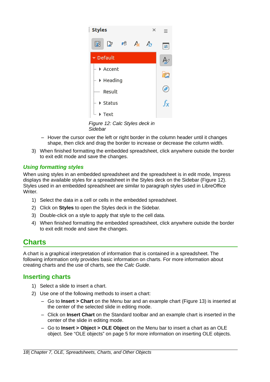

*Figure 12: Calc Styles deck in Sidebar*

- <span id="page-17-3"></span>– Hover the cursor over the left or right border in the column header until it changes shape, then click and drag the border to increase or decrease the column width.
- 3) When finished formatting the embedded spreadsheet, click anywhere outside the border to exit edit mode and save the changes.

#### <span id="page-17-2"></span>*Using formatting styles*

When using styles in an embedded spreadsheet and the spreadsheet is in edit mode, Impress displays the available styles for a spreadsheet in the Styles deck on the Sidebar (Figure [12\)](#page-17-3). Styles used in an embedded spreadsheet are similar to paragraph styles used in LibreOffice Writer.

- 1) Select the data in a cell or cells in the embedded spreadsheet.
- 2) Click on **Styles** to open the Styles deck in the Sidebar.
- 3) Double-click on a style to apply that style to the cell data.
- 4) When finished formatting the embedded spreadsheet, click anywhere outside the border to exit edit mode and save the changes.

## <span id="page-17-1"></span>**Charts**

A chart is a graphical interpretation of information that is contained in a spreadsheet. The following information only provides basic information on charts. For more information about creating charts and the use of charts, see the *Calc Guide*.

## <span id="page-17-0"></span>**Inserting charts**

- 1) Select a slide to insert a chart.
- 2) Use one of the following methods to insert a chart:
	- Go to **Insert > Chart** on the Menu bar and an example chart (Figure [13](#page-18-2)) is inserted at the center of the selected slide in editing mode.
	- Click on **Insert Chart** on the Standard toolbar and an example chart is inserted in the center of the slide in editing mode.
	- Go to **Insert > Object > OLE Object** on the Menu bar to insert a chart as an OLE object. See "[OLE objects"](#page-4-1) on page [5](#page-4-1) for more information on inserting OLE objects.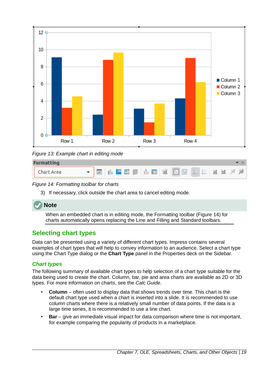

<span id="page-18-2"></span>*Figure 13: Example chart in editing mode*

| <b>Formatting</b> |  |
|-------------------|--|
| Chart Area        |  |

*Figure 14: Formatting toolbar for charts*

<span id="page-18-3"></span>3) If necessary, click outside the chart area to cancel editing mode.



When an embedded chart is in editing mode, the Formatting toolbar (Figure [14](#page-18-3)) for charts automatically opens replacing the Line and Filling and Standard toolbars.

## <span id="page-18-1"></span>**Selecting chart types**

Data can be presented using a variety of different chart types. Impress contains several examples of chart types that will help to convey information to an audience. Select a chart type using the Chart Type dialog or the **Chart Type** panel in the Properties deck on the Sidebar.

## <span id="page-18-0"></span>*Chart types*

The following summary of available chart types to help selection of a chart type suitable for the data being used to create the chart. Column, bar, pie and area charts are available as 2D or 3D types. For more information on charts, see the *Calc Guide*.

- **Column** often used to display data that shows trends over time. This chart is the default chart type used when a chart is inserted into a slide. It is recommended to use column charts where there is a relatively small number of data points. If the data is a large time series, it is recommended to use a line chart.
- **Bar** give an immediate visual impact for data comparison where time is not important, for example comparing the popularity of products in a marketplace.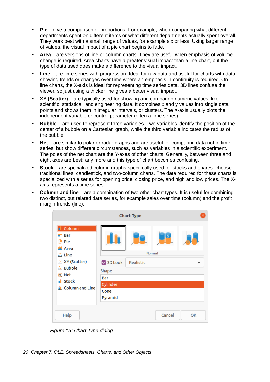- **Pie** give a comparison of proportions. For example, when comparing what different departments spent on different items or what different departments actually spent overall. They work best with a small range of values, for example six or less. Using larger range of values, the visual impact of a pie chart begins to fade.
- **Area** are versions of line or column charts. They are useful when emphasis of volume change is required. Area charts have a greater visual impact than a line chart, but the type of data used does make a difference to the visual impact.
- **Line** are time series with progression. Ideal for raw data and useful for charts with data showing trends or changes over time where an emphasis in continuity is required. On line charts, the X-axis is ideal for representing time series data. 3D lines confuse the viewer, so just using a thicker line gives a better visual impact.
- **XY (Scatter)** are typically used for showing and comparing numeric values, like scientific, statistical, and engineering data. It combines x and y values into single data points and shows them in irregular intervals, or clusters. The X-axis usually plots the independent variable or control parameter (often a time series).
- **Bubble** are used to represent three variables. Two variables identify the position of the center of a bubble on a Cartesian graph, while the third variable indicates the radius of the bubble.
- **Net** are similar to polar or radar graphs and are useful for comparing data not in time series, but show different circumstances, such as variables in a scientific experiment. The poles of the net chart are the Y-axes of other charts. Generally, between three and eight axes are best; any more and this type of chart becomes confusing.
- **Stock** are specialized column graphs specifically used for stocks and shares. choose traditional lines, candlestick, and two-column charts. The data required for these charts is specialized with a series for opening price, closing price, and high and low prices. The Xaxis represents a time series.
- **Column and line** are a combination of two other chart types. It is useful for combining two distinct, but related data series, for example sales over time (column) and the profit margin trends (line).

|                                                                                                                                                                              |                                                        | <b>Chart Type</b> |             |    |
|------------------------------------------------------------------------------------------------------------------------------------------------------------------------------|--------------------------------------------------------|-------------------|-------------|----|
| <b>Il</b> Column<br>$\mathbf{E}$ Bar<br>$\bigodot$ Pie<br>Area<br>$\leq$ Line<br>XY (Scatter)<br>$\mathbf{E}$ Bubble<br><b>囟 Net</b><br><b>ii</b> Stock<br>i Column and Line | 3D Look<br>Shape<br>Bar<br>Cylinder<br>Cone<br>Pyramid | Realistic         | ≅<br>Normal |    |
| Help                                                                                                                                                                         |                                                        |                   | Cancel      | OK |

<span id="page-19-0"></span>*Figure 15: Chart Type dialog*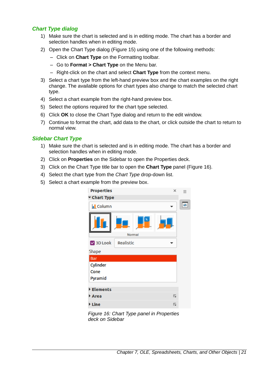#### <span id="page-20-0"></span>*Chart Type dialog*

- 1) Make sure the chart is selected and is in editing mode. The chart has a border and selection handles when in editing mode.
- 2) Open the Chart Type dialog (Figure [15](#page-19-0)) using one of the following methods:
	- Click on **Chart Type** on the Formatting toolbar.
	- Go to **Format > Chart Type** on the Menu bar.
	- Right-click on the chart and select **Chart Type** from the context menu.
- 3) Select a chart type from the left-hand preview box and the chart examples on the right change. The available options for chart types also change to match the selected chart type.
- 4) Select a chart example from the right-hand preview box.
- 5) Select the options required for the chart type selected.
- 6) Click **OK** to close the Chart Type dialog and return to the edit window.
- 7) Continue to format the chart, add data to the chart, or click outside the chart to return to normal view.

#### <span id="page-20-1"></span>*Sidebar Chart Type*

- 1) Make sure the chart is selected and is in editing mode. The chart has a border and selection handles when in editing mode.
- 2) Click on **Properties** on the Sidebar to open the Properties deck.
- 3) Click on the Chart Type title bar to open the **Chart Type** panel (Figure [16](#page-20-2)).
- 4) Select the chart type from the *Chart Type* drop-down list.
- 5) Select a chart example from the preview box.

<span id="page-20-2"></span>

*Figure 16: Chart Type panel in Properties deck on Sidebar*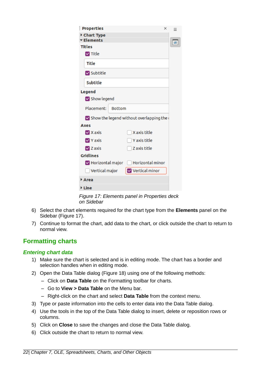| <b>Properties</b>                                       | $\times$                | Ξ |
|---------------------------------------------------------|-------------------------|---|
| Chart Type                                              |                         |   |
| <b>Elements</b>                                         |                         |   |
| <b>Titles</b>                                           |                         |   |
| $\triangledown$ Title                                   |                         |   |
| Title                                                   |                         |   |
| Subtitle                                                |                         |   |
| Subtitle                                                |                         |   |
| <b>Legend</b>                                           |                         |   |
| Show legend                                             |                         |   |
| Placement:<br><b>Bottom</b>                             |                         |   |
| $\triangledown$ Show the legend without overlapping the |                         |   |
| Axes                                                    |                         |   |
| $\vee$ X axis                                           | X axis title            |   |
| $\vee$ Y axis                                           | Y axis title            |   |
| $\nabla$ Z axis                                         | Z axis title            |   |
| <b>Gridlines</b>                                        |                         |   |
| $\triangleright$ Horizontal major                       | <b>Horizontal minor</b> |   |
| Vertical major                                          | Vertical minor          |   |
| Area                                                    |                         |   |
| <b>▶ Line</b>                                           |                         |   |

<span id="page-21-2"></span>*Figure 17: Elements panel in Properties deck on Sidebar*

- 6) Select the chart elements required for the chart type from the **Elements** panel on the Sidebar (Figure [17](#page-21-2)).
- 7) Continue to format the chart, add data to the chart, or click outside the chart to return to normal view.

## <span id="page-21-1"></span>**Formatting charts**

#### <span id="page-21-0"></span>*Entering chart data*

- 1) Make sure the chart is selected and is in editing mode. The chart has a border and selection handles when in editing mode.
- 2) Open the Data Table dialog (Figure [18](#page-22-0)) using one of the following methods:
	- Click on **Data Table** on the Formatting toolbar for charts.
	- Go to **View > Data Table** on the Menu bar.
	- Right-click on the chart and select **Data Table** from the context menu.
- 3) Type or paste information into the cells to enter data into the Data Table dialog.
- 4) Use the tools in the top of the Data Table dialog to insert, delete or reposition rows or columns.
- 5) Click on **Close** to save the changes and close the Data Table dialog.
- 6) Click outside the chart to return to normal view.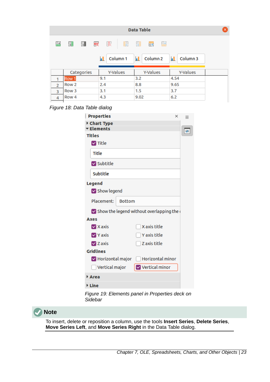|                |                  |        |     |          |   | Data Table |                     |   |      |          | × |
|----------------|------------------|--------|-----|----------|---|------------|---------------------|---|------|----------|---|
| 邼              | 閉                | 閉<br>輆 |     | 救        | 氐 | 罤          | 囲                   | 郾 |      |          |   |
|                |                  |        | ш   | Column 1 |   | П          | Column <sub>2</sub> |   | П    | Column 3 |   |
|                | Categories       |        |     | Y-Values |   |            | Y-Values            |   |      | Y-Values |   |
|                | Row 1            |        | 9.1 |          |   | 3.2        |                     |   | 4.54 |          |   |
| $\overline{2}$ | Row 2            |        | 2.4 |          |   | 8.8        |                     |   | 9.65 |          |   |
| 3              | Row <sub>3</sub> |        | 3.1 |          |   | 1.5        |                     |   | 3.7  |          |   |
| 4              | Row <sub>4</sub> |        | 4.3 |          |   | 9.02       |                     |   | 6.2  |          |   |

<span id="page-22-0"></span>*Figure 18: Data Table dialog*

| <b>Properties</b>                 |               |                                                         | $\times$ | $=$ |
|-----------------------------------|---------------|---------------------------------------------------------|----------|-----|
| Chart Type                        |               |                                                         |          |     |
| <b>Elements</b>                   |               |                                                         |          |     |
| <b>Titles</b>                     |               |                                                         |          |     |
| $\triangledown$ Title             |               |                                                         |          |     |
| Title                             |               |                                                         |          |     |
| Subtitle                          |               |                                                         |          |     |
| <b>Subtitle</b>                   |               |                                                         |          |     |
| <b>Legend</b>                     |               |                                                         |          |     |
| Show legend                       |               |                                                         |          |     |
| Placement:                        | <b>Bottom</b> |                                                         |          |     |
|                                   |               | $\triangledown$ Show the legend without overlapping the |          |     |
| Axes                              |               |                                                         |          |     |
| $\vee$ X axis                     |               | X axis title                                            |          |     |
| <b>√</b> Y axis                   |               | Y axis title                                            |          |     |
| $\nabla$ Z axis                   |               | Z axis title                                            |          |     |
| <b>Gridlines</b>                  |               |                                                         |          |     |
| $\triangleright$ Horizontal major |               | <b>Horizontal minor</b>                                 |          |     |
| Vertical major                    |               | Vertical minor                                          |          |     |
| Area                              |               |                                                         |          |     |
| <b>▶ Line</b>                     |               |                                                         |          |     |
| Sidebar                           |               | Figure 19: Elements panel in Properties deck on         |          |     |

**Note**

<span id="page-22-1"></span>To insert, delete or reposition a column, use the tools **Insert Series**, **Delete Series**, **Move Series Left**, and **Move Series Right** in the Data Table dialog.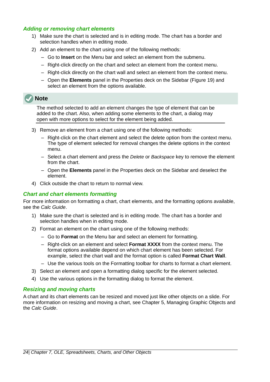#### <span id="page-23-2"></span>*Adding or removing chart elements*

- 1) Make sure the chart is selected and is in editing mode. The chart has a border and selection handles when in editing mode.
- 2) Add an element to the chart using one of the following methods:
	- Go to **Insert** on the Menu bar and select an element from the submenu.
	- Right-click directly on the chart and select an element from the context menu.
	- Right-click directly on the chart wall and select an element from the context menu.
	- Open the **Elements** panel in the Properties deck on the Sidebar (Figure [19](#page-22-1)) and select an element from the options available.

## **Note**

The method selected to add an element changes the type of element that can be added to the chart. Also, when adding some elements to the chart, a dialog may open with more options to select for the element being added.

- 3) Remove an element from a chart using one of the following methods:
	- Right-click on the chart element and select the delete option from the context menu. The type of element selected for removal changes the delete options in the context menu.
	- Select a chart element and press the *Delete* or *Backspace* key to remove the element from the chart.
	- Open the **Elements** panel in the Properties deck on the Sidebar and deselect the element.
- 4) Click outside the chart to return to normal view.

#### <span id="page-23-1"></span>*Chart and chart elements formatting*

For more information on formatting a chart, chart elements, and the formatting options available, see the *Calc Guide*.

- 1) Make sure the chart is selected and is in editing mode. The chart has a border and selection handles when in editing mode.
- 2) Format an element on the chart using one of the following methods:
	- Go to **Format** on the Menu bar and select an element for formatting.
	- Right-click on an element and select **Format XXXX** from the context menu. The format options available depend on which chart element has been selected. For example, select the chart wall and the format option is called **Format Chart Wall**.
	- Use the various tools on the Formatting toolbar for charts to format a chart element.
- 3) Select an element and open a formatting dialog specific for the element selected.
- 4) Use the various options in the formatting dialog to format the element.

#### <span id="page-23-0"></span>*Resizing and moving charts*

A chart and its chart elements can be resized and moved just like other objects on a slide. For more information on resizing and moving a chart, see Chapter 5, Managing Graphic Objects and the *Calc Guide*.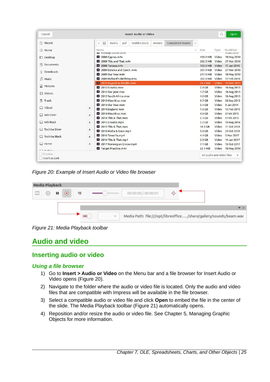| Cancel                     |              |                                            |                                                      |     | <b>Insert Audio or Video</b> |        |                         |              |                           | Q           | Open                            |
|----------------------------|--------------|--------------------------------------------|------------------------------------------------------|-----|------------------------------|--------|-------------------------|--------------|---------------------------|-------------|---------------------------------|
| ◯ Recent                   |              | 0<br>$\triangleleft$                       | media                                                | psf | Toshiba Black                | Movies | <b>Completed Movies</b> | $\mathbb{R}$ |                           |             |                                 |
| ∩ Home                     |              | Name                                       |                                                      |     |                              |        |                         | $\forall$    | Size                      | Type        | Modified                        |
|                            |              |                                            | <b>NUTLED AT A LIGHT OF STATE</b><br>2008 Cyprus.m4v |     |                              |        |                         |              | 438.9 MB                  | Video       | <b>SULL ZUIS</b><br>18 May 2010 |
| $\Box$ Desktop             |              | $\blacktriangleright$                      | 2008 This and That.m4v                               |     |                              |        |                         |              | 282.3 MB                  | Video       | 27 Mar 2010                     |
| 同<br>Documents             |              |                                            | $2008$ Turawa.m4v                                    |     |                              |        |                         |              | 103.6 MB                  | Video       | 17 Jan 2010                     |
|                            |              | $\blacktriangleright$                      | 2009 Dzialka and Czech.m4v                           |     |                              |        |                         |              | 307.9 MB                  | Video       | 27 Mar 2010                     |
| ⇩<br>Downloads             |              |                                            | 2009 Our Year, m4v                                   |     |                              |        |                         |              | 217.9 MB                  | Video       | 18 May 2010                     |
| л<br>Music                 |              |                                            | 2009 Richard's Birthday.m4v                          |     |                              |        |                         |              | 302.8 MB                  | Video       | 17 Feb 2010                     |
|                            |              | E                                          | 2010 Wypad na dzialke.m4v                            |     |                              |        |                         |              | 34.2 MB                   | Video       | 19 Mar 2011                     |
| $\triangle^*$<br>Pictures  |              |                                            | 2012 Croatia.mov                                     |     |                              |        |                         |              | 2.6 <sub>GB</sub>         | Video       | 16 Aug 2013                     |
|                            |              | $\blacktriangleright$<br>2012 Our year.mov |                                                      |     |                              |        |                         |              | 1.7 <sub>GB</sub>         | Video       | 16 Aug 2013                     |
| <b>日</b> Videos            |              |                                            | 2012 South Africa.mov                                |     |                              |        |                         |              | 4.0 <sub>GB</sub>         | Video       | 16 Aug 2013                     |
| 侖<br>Trash                 |              | $\blacktriangleright$                      | 2013 Mauritius, mov                                  |     |                              |        |                         |              | 3.7 <sub>GB</sub>         | Video       | 26 Sep 2013                     |
|                            |              | 2013 Our Year, mov                         |                                                      |     |                              |        |                         |              | 3.4 <sub>GB</sub>         | Video       | 9 Jan 2014                      |
| $\Box$ iCloud              | ≜            |                                            | 2014 England.mov                                     |     |                              |        |                         |              | $1.6$ GB                  | Video       | 13 Feb 2015                     |
| <b>WD Silver</b>           | $\triangle$  |                                            | 2014 Mauritius, mov                                  |     |                              |        |                         |              | 4.9 <sub>GB</sub>         | Video       | 8 Feb 2015                      |
|                            |              |                                            | 2014 This & That.mov                                 |     |                              |        |                         |              | 2.3 <sub>GB</sub>         | Video       | 9 Feb 2015                      |
| WD Black<br>□              | $\triangle$  |                                            | 2015 Croatia.mp4                                     |     |                              |        |                         |              | 5.2 <sub>GB</sub>         | Video       | 19 Aug 2016                     |
| Toshiba Silver             |              |                                            | 2015 This & That.mov                                 |     |                              |        |                         |              | 16.5 GB                   | Video       | 11 Oct 2016                     |
|                            | $\triangleq$ |                                            | 2016 Malta & Gozo.mp4                                |     |                              |        |                         |              | 5.6 GB                    | Video       | 24 Oct 2016                     |
| Toshiba Black              | $\triangleq$ |                                            | 2016 Tenerife.mp4                                    |     |                              |        |                         |              | $4.4$ GB                  | Video       | 5 Mar 2017                      |
|                            |              | 2016 This & That.mp4                       |                                                      |     |                              |        |                         | $2.9$ GB     | Video                     | 14 Jan 2017 |                                 |
| Home                       | $\triangle$  |                                            | 2017 Norwegian Cruise.mp4                            |     |                              |        |                         |              | $7.1$ GB                  | Video       | 13 Oct 2017                     |
| $\neg$ $\neg$ . $cc - 1$ . |              |                                            | Target Practice.m4v                                  |     |                              |        |                         |              | 22.1 MB                   |             | Video 18 May 2010               |
| Preview                    |              |                                            |                                                      |     |                              |        |                         |              | All audio and video files |             | $\overline{\mathbf{v}}$         |

<span id="page-24-4"></span>*Figure 20: Example of Insert Audio or Video file browser*

|        | <b>Media Playback</b> |   |           |   |        |                     |                                                                   |
|--------|-----------------------|---|-----------|---|--------|---------------------|-------------------------------------------------------------------|
| $\Box$ | $(\blacksquare)$      | ш | $\bullet$ | 履 |        | 00:00:00 / 00:00:01 |                                                                   |
|        |                       |   |           |   |        |                     |                                                                   |
|        |                       |   |           |   | $\sim$ |                     | Media Path: file:///opt/libreoffice/share/gallery/sounds/beam.wav |

<span id="page-24-3"></span>*Figure 21: Media Playback toolbar*

## <span id="page-24-2"></span>**Audio and video**

## <span id="page-24-1"></span>**Inserting audio or video**

#### <span id="page-24-0"></span>*Using a file browser*

- 1) Go to **Insert > Audio or Video** on the Menu bar and a file browser for Insert Audio or Video opens (Figure [20](#page-24-4)).
- 2) Navigate to the folder where the audio or video file is located. Only the audio and video files that are compatible with Impress will be available in the file browser.
- 3) Select a compatible audio or video file and click **Open** to embed the file in the center of the slide. The Media Playback toolbar (Figure [21](#page-24-3)) automatically opens.
- 4) Reposition and/or resize the audio or video file. See Chapter 5, Managing Graphic Objects for more information.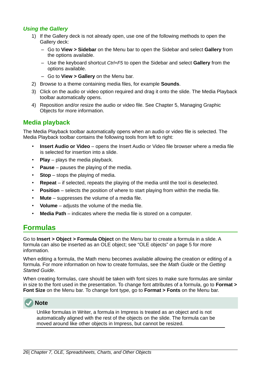#### <span id="page-25-2"></span>*Using the Gallery*

- 1) If the Gallery deck is not already open, use one of the following methods to open the Gallery deck:
	- Go to **View > Sidebar** on the Menu bar to open the Sidebar and select **Gallery** from the options available.
	- Use the keyboard shortcut *Ctrl+F5* to open the Sidebar and select **Gallery** from the options available.
	- Go to **View > Gallery** on the Menu bar.
- 2) Browse to a theme containing media files, for example **Sounds**.
- 3) Click on the audio or video option required and drag it onto the slide. The Media Playback toolbar automatically opens.
- 4) Reposition and/or resize the audio or video file. See Chapter 5, Managing Graphic Objects for more information.

#### <span id="page-25-1"></span>**Media playback**

The Media Playback toolbar automatically opens when an audio or video file is selected. The Media Playback toolbar contains the following tools from left to right:

- **Insert Audio or Video** opens the Insert Audio or Video file browser where a media file is selected for insertion into a slide.
- **Play** plays the media playback.
- **Pause** pauses the playing of the media.
- **Stop** stops the playing of media.
- **Repeat** if selected, repeats the playing of the media until the tool is deselected.
- **Position** selects the position of where to start playing from within the media file.
- **Mute** suppresses the volume of a media file.
- **Volume** adjusts the volume of the media file.
- **Media Path** indicates where the media file is stored on a computer.

## <span id="page-25-0"></span>**Formulas**

Go to **Insert > Object > Formula Object** on the Menu bar to create a formula in a slide. A formula can also be inserted as an OLE object; see ["OLE objects](#page-4-1)" on page [5](#page-4-1) for more information.

When editing a formula, the Math menu becomes available allowing the creation or editing of a formula. For more information on how to create formulas, see the *Math Guide* or the *Getting Started Guide*.

When creating formulas, care should be taken with font sizes to make sure formulas are similar in size to the font used in the presentation. To change font attributes of a formula, go to **Format > Font Size** on the Menu bar. To change font type, go to **Format > Fonts** on the Menu bar.



**Note**

Unlike formulas in Writer, a formula in Impress is treated as an object and is not automatically aligned with the rest of the objects on the slide. The formula can be moved around like other objects in Impress, but cannot be resized.